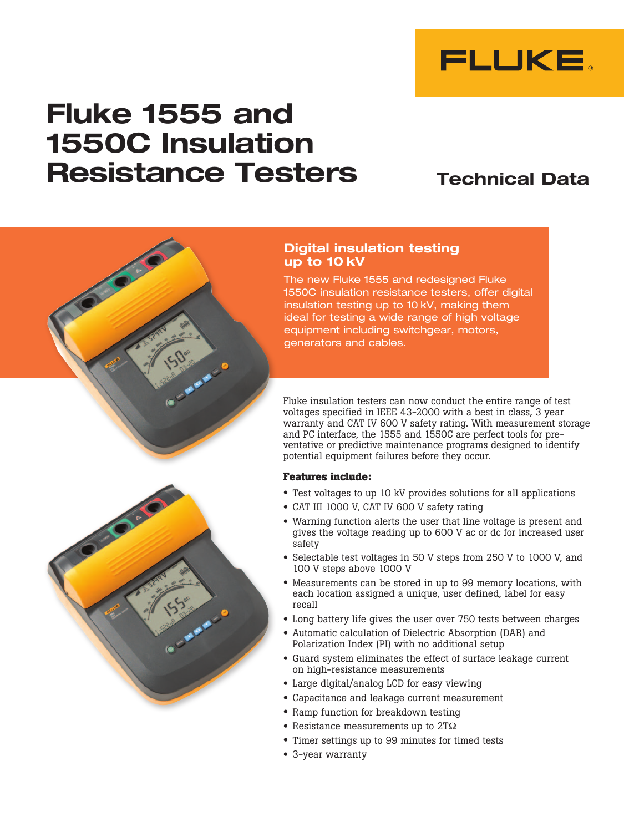

# Fluke 1555 and 1550C Insulation Resistance Testers

# Technical Data



# Digital insulation testing up to 10 kV

The new Fluke 1555 and redesigned Fluke 1550C insulation resistance testers, offer digital insulation testing up to 10 kV, making them ideal for testing a wide range of high voltage equipment including switchgear, motors, generators and cables.

Fluke insulation testers can now conduct the entire range of test voltages specified in IEEE 43-2000 with a best in class, 3 year warranty and CAT IV 600 V safety rating. With measurement storage and PC interface, the 1555 and 1550C are perfect tools for preventative or predictive maintenance programs designed to identify potential equipment failures before they occur.

## **Features include:**

- Test voltages to up 10 kV provides solutions for all applications
- CAT III 1000 V, CAT IV 600 V safety rating
- Warning function alerts the user that line voltage is present and gives the voltage reading up to 600 V ac or dc for increased user safety
- Selectable test voltages in 50 V steps from 250 V to 1000 V, and 100 V steps above 1000 V
- Measurements can be stored in up to 99 memory locations, with each location assigned a unique, user defined, label for easy recall
- Long battery life gives the user over 750 tests between charges
- Automatic calculation of Dielectric Absorption (DAR) and Polarization Index (PI) with no additional setup
- Guard system eliminates the effect of surface leakage current on high-resistance measurements
- Large digital/analog LCD for easy viewing
- Capacitance and leakage current measurement
- Ramp function for breakdown testing
- Resistance measurements up to 2TΩ
- Timer settings up to 99 minutes for timed tests
- 3-year warranty